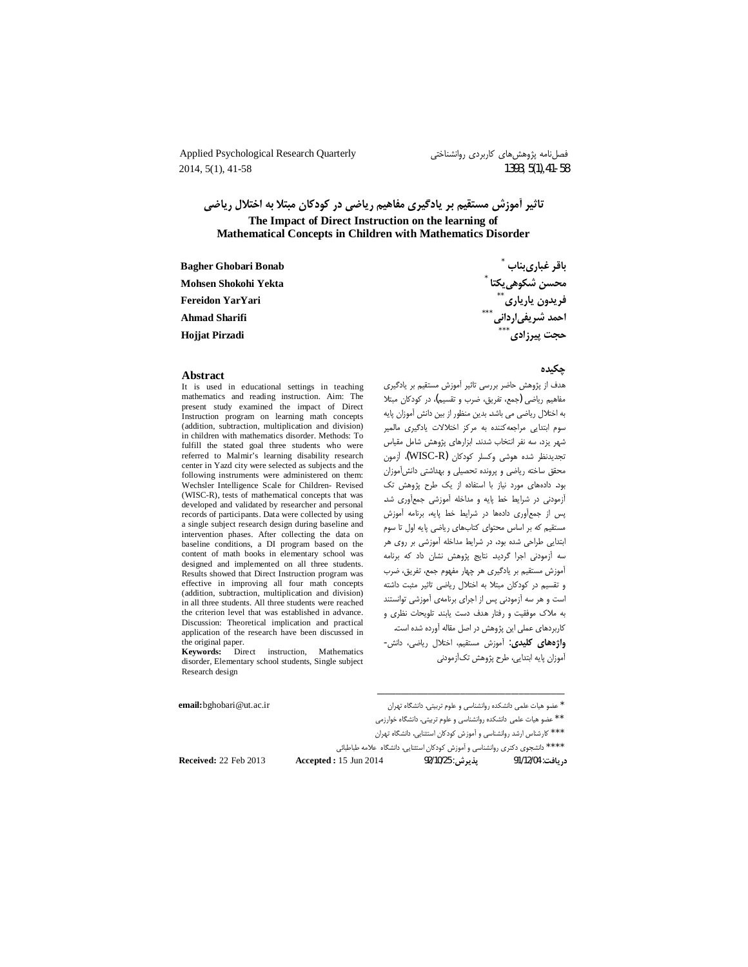Applied Psychological Research Quarterly 2014, 5(1), 41-58

فصلنامه پژوهشهای کاربردی روانشناختی 1393, 5(1), 41-58

تاثیر أموزش مستقیم بر یادگیری مفاهیم ریاضی در کودکان مبتلا به اختلال ریاضی The Impact of Direct Instruction on the learning of Mathematical Concepts in Children with Mathematics Disorder

| <b>Bagher Ghobari Bonab</b> | باقر غبارىبناب            |
|-----------------------------|---------------------------|
| Mohsen Shokohi Yekta        | محسن شكوهي يكتا ً         |
| <b>Fereidon YarYari</b>     | $***$<br>فريدون يارياري   |
| <b>Ahmad Sharifi</b>        | $***$<br>احمد شریفیاردانی |
| <b>Hojjat Pirzadi</b>       | $***$<br>حجت پیرزادی      |

#### **A** hstract

It is used in educational settings in teaching mathematics and reading instruction. Aim: The present study examined the impact of Direct Instruction program on learning math concepts (addition, subtraction, multiplication and division) in children with mathematics disorder. Methods: To fulfill the stated goal three students who were referred to Malmir's learning disability research center in Yazd city were selected as subjects and the following instruments were administered on them: Wechsler Intelligence Scale for Children- Revised (WISC-R), tests of mathematical concepts that was developed and validated by researcher and personal records of participants. Data were collected by using a single subject research design during baseline and intervention phases. After collecting the data on baseline conditions, a DI program based on the content of math books in elementary school was designed and implemented on all three students. Results showed that Direct Instruction program was effective in improving all four math concepts (addition, subtraction, multiplication and division) in all three students. All three students were reached the criterion level that was established in advance. Discussion: Theoretical implication and practical application of the research have been discussed in the original paper.

Kevwords: Direct instruction. Mathematics disorder, Elementary school students, Single subject Research design

email: bghobari@ut.ac.ir

٬<br>' عضو هیات علمی دانشکده روانشناسی و علوم تربیتی. دانشگاه تهران

\* \* عضو هیات علمی دانشکده روانشناسی و علوم تربیتی. دانشگاه خوارزمی

\* \* \* كارشناس ارشد روانشناسي و أموزش كودكان استثنايي. دانشگاه تهران

\*\*\*\* دانشجوی دکتری روانشناسی و اَموزش کودکان استثنایی. دانشگاه علامه طباطبائی

**Received: 22 Feb 2013** 

چکیده

هدف از پژوهش حاضر بررسی تاثیر آموزش مستقیم بر یادگیری مفاهیم ریاضی (جمع، تفریق، ضرب و تقسیم)، در کودکان مبتلا به اختلال ریاضی می باشد. بدین منظور از بین دانش آموزان پایه سوم ابتدایی مراجعهکننده به مرکز اختلالات یادگیری مالمیر شهر یزد، سه نفر انتخاب شدند. ابزارهای پژوهش شامل مقیاس تجديدنظر شده هوشى وكسلر كودكان (WISC-R) أزمون محقق ساخته رياضى و پرونده تحصيلى و بهداشتى دانش آموزان بود. دادههای مورد نیاز با استفاده از یک طرح پژوهش تک آزمودنی در شرایط خط پایه و مداخله آموزشی جمعآوری شد. پس از جمعآوری دادهها در شرایط خط پایه، برنامه آموزش مستقیم که بر اساس محتوای کتابهای ریاضی پایه اول تا سوم ابتدایی طراحی شده بود، در شرایط مداخله آموزشی بر روی هر سه آزمودنی اجرا گردید. نتایج پژوهش نشان داد که برنامه أموزش مستقیم بر یادگیری هر چهار مفهوم جمع، تفریق، ضرب و تقسیم در کودکان مبتلا به اختلال ریاضی تاثیر مثبت داشته است و هر سه آزمودنی پس از اجرای برنامهی آموزشی توانستند به ملاک موفقیت و رفتار هدف دست یابند. تلویحات نظری و کاربردهای عملی این پژوهش در اصل مقاله آورده شده است. واژههای کلیدی: آموزش مستقیم، اختلال ریاضی، دانش-

آموزان يايه ابتدايي، طرح پژوهش تکآزمودني

يذيرشي: 25/10/25 د, يافت: 91/12/04

**Accepted: 15 Jun 2014**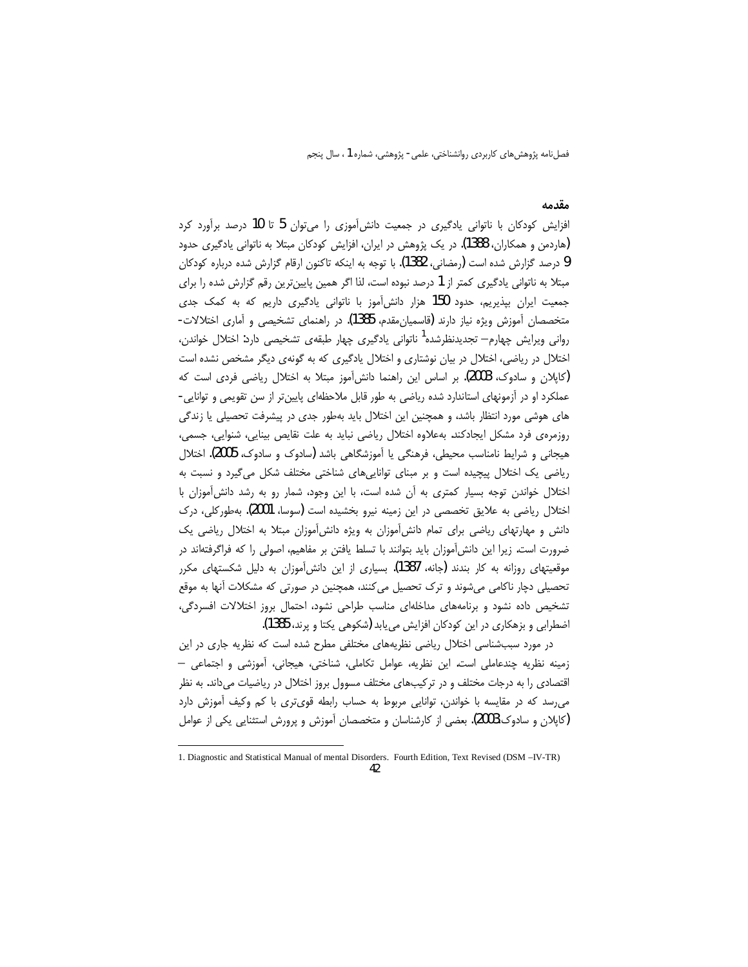#### مقدمه

افزایش کودکان با ناتوانی یادگیری در جمعیت دانشآموزی را میتوان 5 تا 10 درصد برآورد کرد (هاردمن و همکاران، 1388). در یک پژوهش در ایران، افزایش کودکان مبتلا به ناتوانی یادگیری حدود 9 درصد گزارش شده است (رمضانی، 1382). با توجه به اینکه تاکنون ارقام گزارش شده درباره کودکان مبتلا به ناتوانی یادگیری کمتر از 1 درصد نبوده است، لذا اگر همین پایینترین رقم گزارش شده را برای جمعیت ایران بپذیریم، حدود 150 هزار دانش آموز با ناتوانی یادگیری داریم که به کمک جدی متخصصان آموزش ویژه نیاز دارند (قاسمیان،قدم، 1385). در راهنمای تشخیصی و آماری اختلالات-رواني ويرايش چهارم— تجديدنظرشده<sup>ا</sup> ناتواني يادگيري چهار طبق*هي* تشخيصي دارد: اختلال خواندن، اختلال در ریاضی، اختلال در بیان نوشتاری و اختلال یادگیری که به گونهی دیگر مشخص نشده است (کایلان و سادوک، 2003). بر اساس این راهنما دانش آموز مبتلا به اختلال ریاضی فردی است که عملکرد او در آزمونهای استاندارد شده ریاضی به طور قابل ملاحظهای پایین تر از سن تقویمی و توانایی-های هوشی مورد انتظار باشد، و همچنین این اختلال باید بهطور جدی در پیشرفت تحصیلی یا زندگی روزمرەى فرد مشكل ايجادكند. بەعلاوه اختلال رياضى نبايد به علت نقايص بينايى، شنوايى، جسمى، هیجانی و شرایط نامناسب محیطی، فرهنگی یا آموزشگاهی باشد (سادوک و سادوک، 2005). اختلال ریاضی یک اختلال پیچیده است و بر مبنای تواناییهای شناختی مختلف شکل می گیرد و نسبت به اختلال خواندن توجه بسیار کمتری به آن شده است، با این وجود، شمار رو به رشد دانش آموزان با اختلال ریاضی به علایق تخصصی در این زمینه نیرو بخشیده است (سوسا، 2001). بهطورکلی، درک دانش و مهارتهای ریاضی برای تمام دانش آموزان به ویژه دانش آموزان مبتلا به اختلال ریاضی یک ضرورت است. زیرا این دانش آموزان باید بتوانند با تسلط یافتن بر مفاهیم، اصولی را که فراگرفتهاند در موقعیتهای روزانه به کار بندند (جانه، 1387). بسیاری از این دانش آموزان به دلیل شکستهای مکرر تحصیلی دچار ناکامی میشوند و ترک تحصیل میکنند، همچنین در صورتی که مشکلات آنها به موقع تشخیص داده نشود و برنامههای مداخلهای مناسب طراحی نشود، احتمال بروز اختلالات افسردگی، اضطرابی و بزهکاری در این کودکان افزایش می یابد (شکوهی یکتا و پرند، 1385).

در مورد سببشناسی اختلال ریاضی نظریههای مختلفی مطرح شده است که نظریه جاری در این زمینه نظریه چندعاملی است. این نظریه، عوامل تکاملی، شناختی، هیجانی، آموزشی و اجتماعی — اقتصادی را به درجات مختلف و در ترکیبهای مختلف مسوول بروز اختلال در ریاضیات میداند. به نظر می رسد که در مقایسه با خواندن، توانایی مربوط به حساب رابطه قویتری با کم وکیف آموزش دارد (کاپلان و سادوک،2003). بعضی از کارشناسان و متخصصان آموزش و پرورش استثنایی یکی از عوامل

<sup>1.</sup> Diagnostic and Statistical Manual of mental Disorders. Fourth Edition, Text Revised (DSM-IV-TR)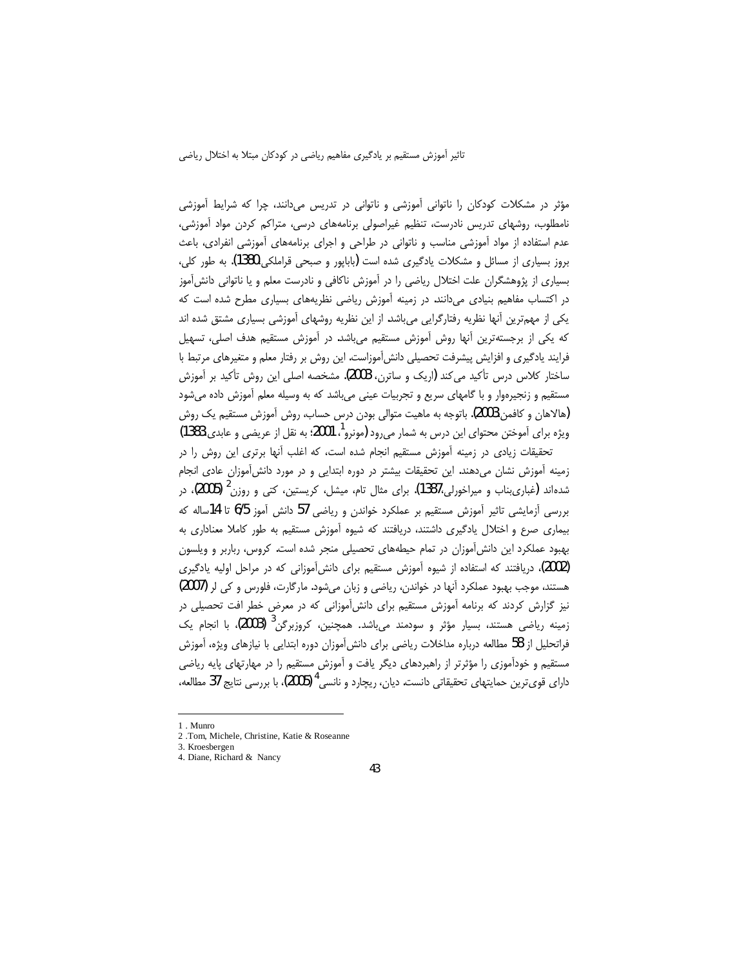مؤثر در مشکلات کودکان را ناتوانی آموزشی و ناتوانی در تدریس میدانند، چرا که شرایط آموزشی نامطلوب، روشهای تدریس نادرست، تنظیم غیراصولی برنامههای درسی، متراکم کردن مواد آموزشی، عدم استفاده از مواد آموزشی مناسب و ناتوانی در طراحی و اجرای برنامههای آموزشی انفرادی، باعث بروز بسیاری از مسائل و مشکلات یادگیری شده است (بابایور و صبحی قراملکی،1380). به طور کلی، بسیاری از پژوهشگران علت اختلال ریاضی را در آموزش ناکافی و نادرست معلم و یا ناتوانی دانش آموز در اکتساب مفاهیم بنیادی میدانند. در زمینه آموزش ریاضی نظریههای بسیاری مطرح شده است که یکی از مهمترین آنها نظریه رفتارگرایی میباشد. از این نظریه روشهای آموزشی بسیاری مشتق شده اند که یکی از برجستهترین آنها روش آموزش مستقیم میباشد. در آموزش مستقیم هدف اصلی، تسهیل فرایند یادگیری و افزایش پیشرفت تحصیلی دانش آموزاست. این روش بر رفتار معلم و متغیرهای مرتبط با ساختار کلاس درس تأکید میکند (اریک و ساترن، 2003). مشخصه اصلی این روش تأکید بر آموزش مستقیم و زنجیرهوار و با گامهای سریع و تجربیات عینی میباشد که به وسیله معلم آموزش داده میشود (هالاهان و كافمن،2003). باتوجه به ماهيت متوالي بودن درس حساب، روش آموزش مستقيم يک روش ویژه برای آموختن محتوای این درس به شمار می رود (مونرو<sup>1</sup>، 2001؛ به نقل از عریضی و عابدی،1383)

تحقیقات زیادی در زمینه آموزش مستقیم انجام شده است، که اغلب آنها برتری این روش را در زمینه آموزش نشان میدهند. این تحقیقات بیشتر در دوره ابتدایی و در مورد دانشآموزان عادی انجام شدهاند (غباریبناب و میراخورلی،1387). برای مثال تام، میشل، کریستین، کتی و روزن<sup>2</sup> (2005)، در بررسی أزمایشی تاثیر أموزش مستقیم بر عملکرد خواندن و ریاضی 57 دانش أموز 6/5 تا 14ساله که بیماری صرع و اختلال یادگیری داشتند، دریافتند که شیوه آموزش مستقیم به طور کاملا معناداری به بهبود عملکرد این دانش آموزان در تمام حیطههای تحصیلی منجر شده است. کروس، رباربر و ویلسون (2002)، دریافتند که استفاده از شیوه آموزش مستقیم برای دانشآموزانی که در مراحل اولیه یادگیری هستند، موجب بهبود عملکرد آنها در خواندن، ریاضی و زبان میشود. مارگارت، فلورس و کی لر (2007) نیز گزارش کردند که برنامه آموزش مستقیم برای دانش آموزانی که در معرض خطر افت تحصیلی در زمینه ریاضی هستند، بسیار مؤثر و سودمند می،باشد. همچنین، کروزبرگن<sup>3</sup> (2003)، با انجام یک فراتحلیل از 58 مطالعه درباره مداخلات ریاضی برای دانش[موزان دوره ابتدایی با نیازهای ویژه، آموزش مستقیم و خودآموزی را مؤثرتر از راهبردهای دیگر یافت و آموزش مستقیم را در مهارتهای پایه ریاضی دارای قوی ترین حمایتهای تحقیقاتی دانست. دیان، ریچارد و نانسی <sup>4</sup> (2005)، با بررسی نتایج 37 مطالعه،

<sup>1.</sup> Munro

<sup>2.</sup> Tom. Michele, Christine, Katie & Roseanne

<sup>3.</sup> Kroesbergen 4. Diane, Richard & Nancy

<sup>43</sup>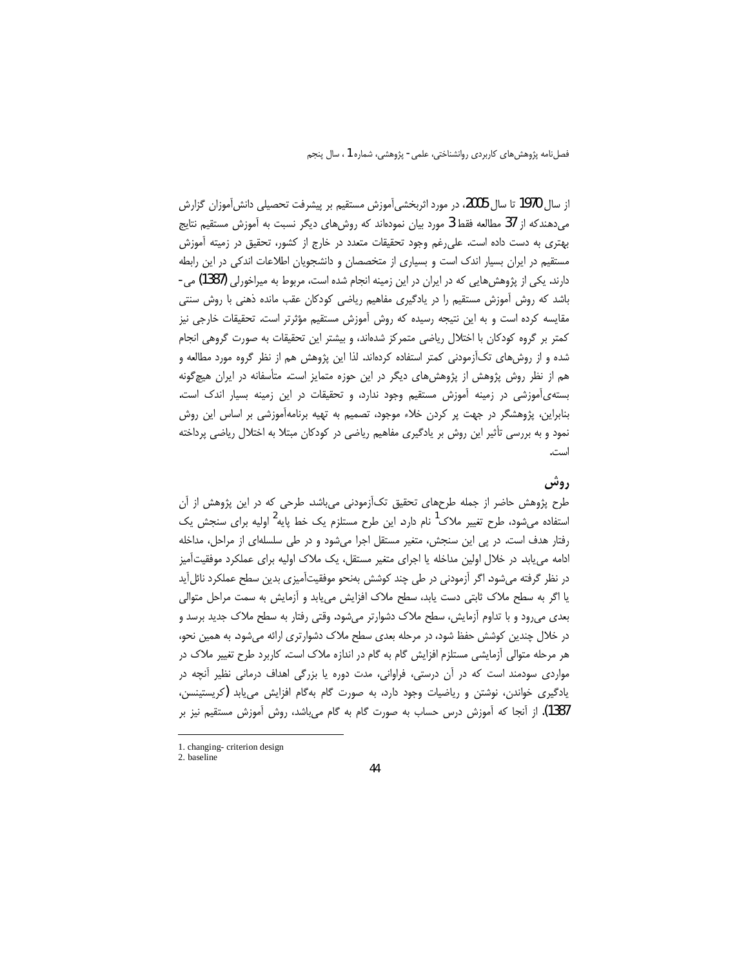از سال 1970 تا سال 2005، در مورد اثربخشیآموزش مستقیم بر پیشرفت تحصیلی دانشآموزان گزارش میدهندکه از 37 مطالعه فقط 3 مورد بیان نمودهاند که روشهای دیگر نسبت به آموزش مستقیم نتایج بهتری به دست داده است. علی رغم وجود تحقیقات متعدد در خارج از کشور، تحقیق در زمیته آموزش مستقیم در ایران بسیار اندک است و بسیاری از متخصصان و دانشجویان اطلاعات اندکی در این رابطه دارند. یکی از پژوهشهایی که در ایران در این زمینه انجام شده است، مربوط به میراخورلی (1387) می-باشد که روش اُموزش مستقیم را در یادگیری مفاهیم ریاضی کودکان عقب مانده ذهنی با روش سنتی مقایسه کرده است و به این نتیجه رسیده که روش آموزش مستقیم مؤثرتر است. تحقیقات خارجی نیز کمتر بر گروه کودکان با اختلال ریاضی متمرکز شدهاند، و بیشتر این تحقیقات به صورت گروهی انجام شده و از روش&ای تکاًزمودنی کمتر استفاده کردهاند. لذا این پژوهش هم از نظر گروه مورد مطالعه و هم از نظر روش پژوهش از پژوهشهای دیگر در این حوزه متمایز است. متأسفانه در ایران هیچگونه بستهی آموزشی در زمینه آموزش مستقیم وجود ندارد، و تحقیقات در این زمینه بسیار اندک است. بنابراین، پژوهشگر در جهت پر کردن خلاء موجود، تصمیم به تهیه برنامهآموزشی بر اساس این روش نمود و به بررسی تأثیر این روش بر یادگیری مفاهیم ریاضی در کودکان مبتلا به اختلال ریاضی پرداخته است.

# ږوشي

طرح پژوهش حاضر از جمله طرحهای تحقیق تکآزمودنی می باشد. طرحی که در این پژوهش از آن استفاده میشود، طرح تغییر ملاک<sup>1</sup> نام دارد. این طرح مستلزم یک خط پایه<sup>2</sup> اولیه برای سنجش یک رفتار هدف است. در پی این سنجش، متغیر مستقل اجرا میشود و در طی سلسلهای از مراحل، مداخله ادامه می یابد. در خلال اولین مداخله یا اجرای متغیر مستقل، یک ملاک اولیه برای عملکرد موفقیتآمیز در نظر گرفته میشود. اگر آزمودنی در طی چند کوشش بهنحو موفقیتآمیزی بدین سطح عملکرد نائلآید یا اگر به سطح ملاک ثابتی دست یابد، سطح ملاک افزایش مییابد و آزمایش به سمت مراحل متوالی بعدی می رود و با تداوم آزمایش، سطح ملاک دشوارتر میشود. وقتی رفتار به سطح ملاک جدید برسد و در خلال چندین کوشش حفظ شود، در مرحله بعدی سطح ملاک دشوارتری ارائه میشود. به همین نحو، هر مرحله متوالی آزمایشی مستلزم افزایش گام به گام در اندازه ملاک است. کاربرد طرح تغییر ملاک در مواردی سودمند است که در آن درستی، فراوانی، مدت دوره یا بزرگی اهداف درمانی نظیر آنچه در یادگیری خواندن، نوشتن و ریاضیات وجود دارد، به صورت گام بهگام افزایش میLیابد (کریستینسن، 1387). از آنجا که آموزش درس حساب به صورت گام به گام میباشد، روش آموزش مستقیم نیز بر

<sup>1.</sup> changing-criterion design 2. baseline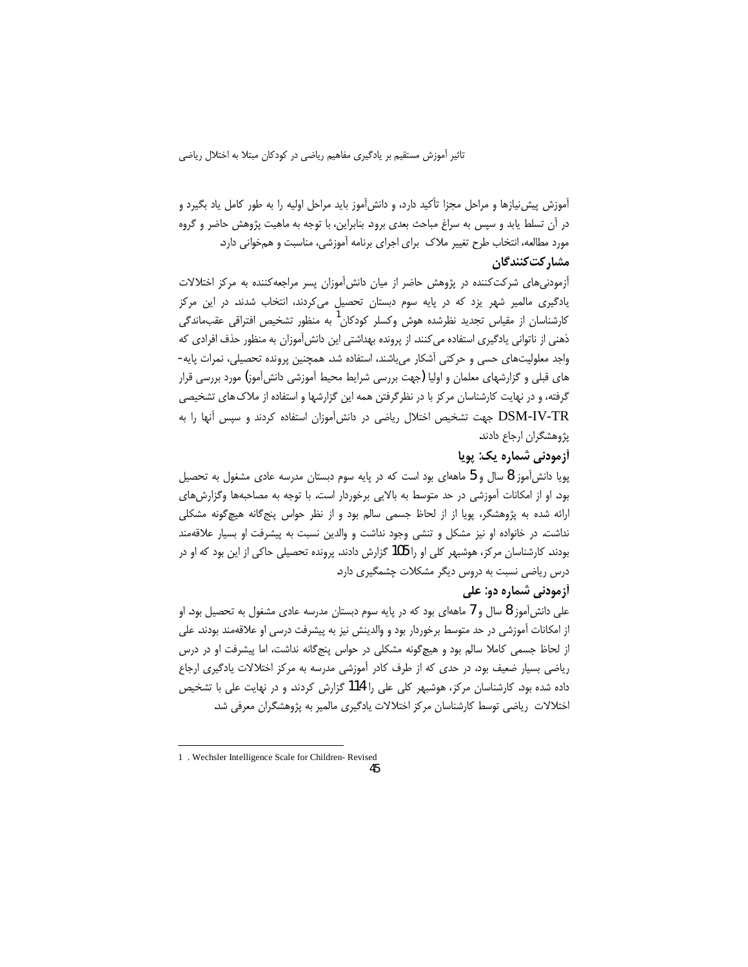آموزش پیش نیازها و مراحل مجزا تأکید دارد، و دانش[موز باید مراحل اولیه را به طور کامل یاد بگیرد و در آن تسلط یابد و سپس به سراغ مباحث بعدی برود. بنابراین، با توجه به ماهیت پژوهش حاضر و گروه مورد مطالعه، انتخاب طرح تغییر ملاک برای اجرای برنامه آموزشی، مناسبت و همخوانی دارد. مشاركت كنندگان

آزمودنیهای شرکتکننده در پژوهش حاضر از میان دانش آموزان پسر مراجعهکننده به مرکز اختلالات یادگیری مالمیر شهر یزد که در پایه سوم دبستان تحصیل می کردند، انتخاب شدند. در این مرکز کارشناسان از مقیاس تجدید نظرشده هوش وکسلر کودکان<sup>ا</sup> به منظور تشخیص افتراقی عقبماندگی ذهنی از ناتوانی یادگیری استفاده می کنند. از پرونده بهداشتی این دانش آموزان به منظور حذف افرادی که واجد معلولیتهای حسی و حرکتی آشکار می باشند، استفاده شد. همچنین پرونده تحصیلی، نمرات پایه-های قبلی و گزارشهای معلمان و اولیا (جهت بررسی شرایط محیط آموزشی دانشآموز) مورد بررسی قرار گرفته، و در نهایت کارشناسان مرکز با در نظرگرفتن همه این گزارشها و استفاده از ملاک های تشخیصی DSM-IV-TR جهت تشخيص اختلال رياضي در دانش[موزان استفاده كردند و سپس آنها را به پژوهشگران ارجاع دادند.

## آزمودنی شماره یک: پویا

پویا دانش[موز 8 سال و 5 ماههای بود است که در پایه سوم دبستان مدرسه عادی مشغول به تحصیل بود. او از امکانات آموزشی در حد متوسط به بالایی برخوردار است. با توجه به مصاحبهها وگزارش های ارائه شده به پژوهشگر، پویا از از لحاظ جسمی سالم بود و از نظر حواس پنج گانه هیچ گونه مشکلی نداشت. در خانواده او نیز مشکل و تنشی وجود نداشت و والدین نسبت به پیشرفت او بسیار علاقهمند بودند. کارشناسان مرکز، هوشبهر کلی او را 105 گزارش دادند. پرونده تحصیلی حاکی از این بود که او در درس ریاضی نسبت به دروس دیگر مشکلات چشمگیری دارد.

# **آزمودنی شماره دو: علی**

علی دانش آموز 8 سال و 7 ماههای بود که در پایه سوم دبستان مدرسه عادی مشغول به تحصیل بود. او از امکانات آموزشی در حد متوسط برخوردار بود و والدینش نیز به پیشرفت درسی او علاقهمند بودند. علی از لحاظ جسمی کاملا سالم بود و هیچگونه مشکلی در حواس پنجگانه نداشت، اما پیشرفت او در درس ریاضی بسیار ضعیف بود، در حدی که از طرف کادر آموزشی مدرسه به مرکز اختلالات یادگیری ارجاع داده شده بود. کارشناسان مرکز، هوشبهر کلی علی را 114 گزارش کردند. و در نهایت علی با تشخیص اختلالات ریاضی توسط کارشناسان مرکز اختلالات پادگیری مالمیر به پژوهشگران معرفی شد.

<sup>1 .</sup> Wechsler Intelligence Scale for Children-Revised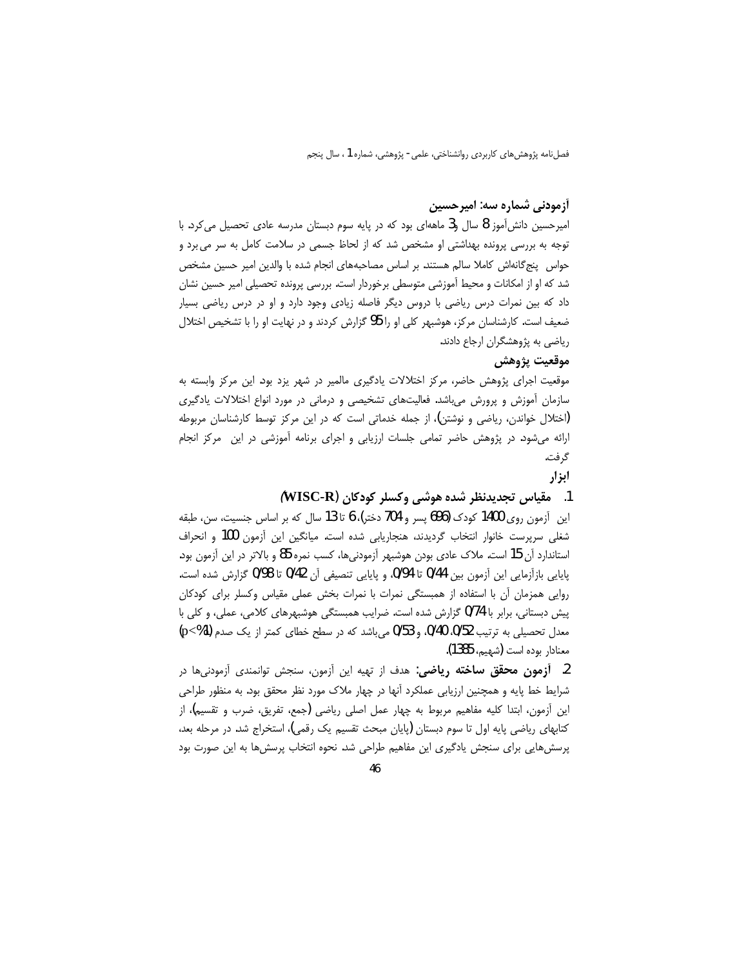### **آزمودنی شماره سه: امیرحسین**

امیرحسین دانش|ًموز 8 سال و3 ماههای بود که در پایه سوم دبستان مدرسه عادی تحصیل میکرد. با توجه به بررسی پرونده بهداشتی او مشخص شد که از لحاظ جسمی در سلامت کامل به سر می برد و حواس پنج گانهاش کاملا سالم هستند. بر اساس مصاحبههای انجام شده با والدین امیر حسین مشخص شد که او از امکانات و محیط آموزشی متوسطی برخوردار است. بررسی پرونده تحصیلی امیر حسین نشان داد که بین نمرات درس ریاضی با دروس دیگر فاصله زیادی وجود دارد و او در درس ریاضی بسیار ضعیف است. کارشناسان مرکز، هوشبهر کلی او را 95 گزارش کردند و در نهایت او را با تشخیص اختلال ریاضی به پژوهشگران ارجاع دادند.

## موقعيت يژوهش

موقعیت اجرای پژوهش حاضر، مرکز اختلالات یادگیری مالمیر در شهر یزد بود. این مرکز وابسته به سازمان اًموزش و پرورش میباشد. فعالیتهای تشخیصی و درمانی در مورد انواع اختلالات یادگیری (اختلال خواندن، ریاضی و نوشتن)، از جمله خدماتی است که در این مرکز توسط کارشناسان مربوطه ارائه میشود. در پژوهش حاضر تمامی جلسات ارزیابی و اجرای برنامه اَموزشی در این مرکز انجام گرفت.

### ابزار

### 1. مقياس تجديدنظر شده هوشي وكسلر كودكان (WISC-R)

این آزمون روی 1400 کودک (696 پسر و 704 دختر)، 6 تا 13 سال که بر اساس جنسیت، سن، طبقه شغلی سرپرست خانوار انتخاب گردیدند، هنجاریابی شده است. میانگین این آزمون 100 و انحراف استاندارد آن 15 است. ملاک عادی بودن هوشبهر آزمودنیها، کسب نمره 85 و بالاتر در این آزمون بود. يايايي بازآزمايي اين آزمون بين 0/44 تا 0/94، و پايايي تنصيفي آن 0/42 تا 0/98 گزارش شده است. روایی همزمان آن با استفاده از همبستگی نمرات با نمرات بخش عملی مقیاس وکسلر برای کودکان پیش دبستانی، برابر با 0/74 گزارش شده است. ضرایب همبستگی هوشبهرهای کلامی، عملی، و کلی با معدل تحصیلی به ترتیب 0/52 0/40، و 0/53 می باشد که در سطح خطای کمتر از یک صدم (p<%1) معنادار بوده است (شهيم، 1385).

2. **آزمون محقق ساخته ریاضی**: هدف از تهیه این آزمون، سنجش توانمندی آزمودنیها در شرایط خط پایه و همچنین ارزیابی عملکرد آنها در چهار ملاک مورد نظر محقق بود. به منظور طراحی این أزمون، ابتدا کلیه مفاهیم مربوط به چهار عمل اصلی ریاضی (جمع، تفریق، ضرب و تقسیم)، از کتابهای ریاضی پایه اول تا سوم دبستان (پایان مبحث تقسیم یک رقمی)، استخراج شد. در مرحله بعد، پرسشهایی برای سنجش یادگیری این مفاهیم طراحی شد. نحوه انتخاب پرسشها به این صورت بود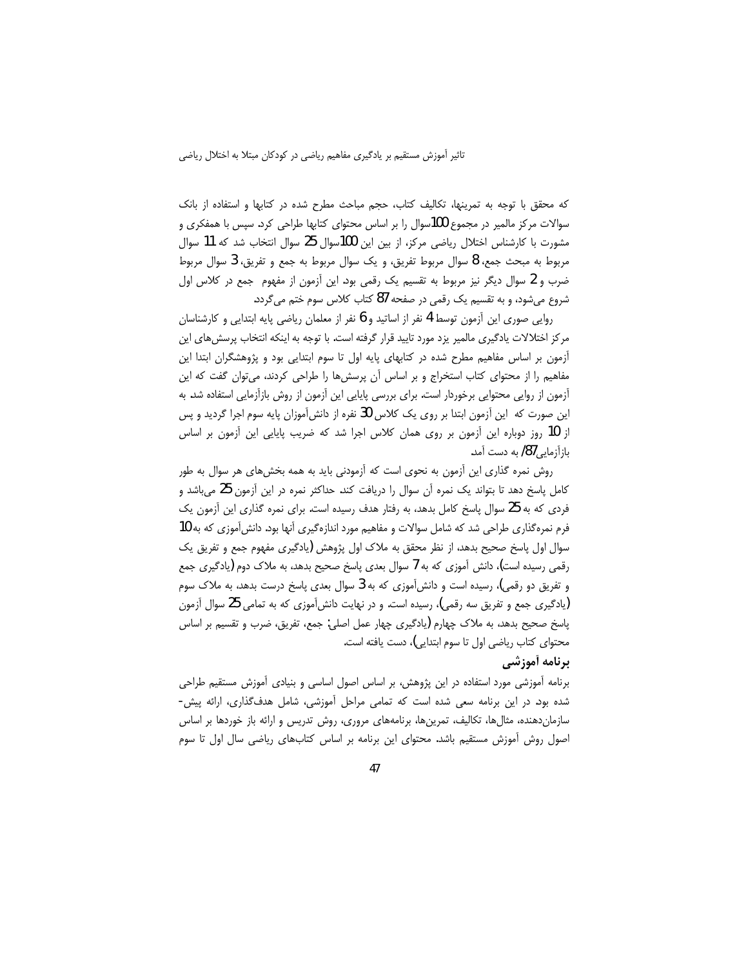که محقق با توجه به تمرینها، تکالیف کتاب، حجم مباحث مطرح شده در کتابها و استفاده از بانک سوالات مرکز مالمیر در مجموع 100سوال را بر اساس محتوای کتابها طراحی کرد. سپس با همفکری و مشورت با كارشناس اختلال رياضي مركز، از بين اين 100سوال 25 سوال انتخاب شد كه 11 سوال مربوط به مبحث جمع، 8 سوال مربوط تفريق، و يک سوال مربوط به جمع و تفريق، 3 سوال مربوط ضرب و 2 سوال دیگر نیز مربوط به تقسیم یک رقمی بود. این آزمون از مفهوم جمع در کلاس اول شروع میشود، و به تقسیم یک رقمی در صفحه 87 کتاب کلاس سوم ختم می گردد.

روایی صوری این اّزمون توسط 4 نفر از اساتید و 6 نفر از معلمان ریاضی پایه ابتدایی و کارشناسان مرکز اختلالات یادگیری مالمیر یزد مورد تایید قرار گرفته است. با توجه به اینکه انتخاب پرسش های این اًزمون بر اساس مفاهیم مطرح شده در کتابهای پایه اول تا سوم ابتدایی بود و پژوهشگران ابتدا این مفاهیم را از محتوای کتاب استخراج و بر اساس آن پرسشها را طراحی کردند، میتوان گفت که این آزمون از روایی محتوایی برخوردار است. برای بررسی پایایی این آزمون از روش بازآزمایی استفاده شد. به این صورت که این اّزمون ابتدا بر روی یک کلاس 30 نفره از دانش[موزان پایه سوم اجرا گردید و پس از 10 روز دوباره این آزمون بر روی همان کلاس اجرا شد که ضریب پایایی این آزمون بر اساس بازآزمای*ی 8*7) به دست آمد.

روش نمره گذاری این آزمون به نحوی است که آزمودنی باید به همه بخشهای هر سوال به طور کامل پاسخ دهد تا بتواند یک نمره آن سوال را دریافت کند. حداکثر نمره در این آزمون 25 میباشد و فردی که به 25 سوال پاسخ کامل بدهد، به رفتار هدف رسیده است. برای نمره گذاری این اّزمون یک فرم نمره گذاری طراحی شد که شامل سوالات و مفاهیم مورد اندازهگیری آنها بود. دانش آموزی که به 10 سوال اول پاسخ صحیح بدهد، از نظر محقق به ملاک اول پژوهش (یادگیری مفهوم جمع و تفریق یک رقمی رسیده است)، دانش آموزی که به 7 سوال بعدی پاسخ صحیح بدهد، به ملاک دوم (یادگیری جمع و تفریق دو رقمی)، رسیده است و دانش آموزی که به 3 سوال بعدی پاسخ درست بدهد، به ملاک سوم (یادگیری جمع و تفریق سه رقمی)، رسیده است. و در نهایت دانشآموزی که به تمامی 25 سوال آزمون پاسخ صحیح بدهد، به ملاک چهارم (یادگیری چهار عمل اصلی: جمع، تفریق، ضرب و تقسیم بر اساس محتواي كتاب رياضي اول تا سوم ابتدايي)، دست يافته است.

## **برنامه أموزشي**

برنامه آموزشی مورد استفاده در این پژوهش، بر اساس اصول اساسی و بنیادی آموزش مستقیم طراحی شده بود. در این برنامه سعی شده است که تمامی مراحل آموزشی، شامل هدفگذاری، ارائه پیش-سازمان دهنده، مثال ها، تكاليف، تمرين ها، برنامههاى مرورى، روش تدريس و ارائه باز خوردها بر اساس اصول روش آموزش مستقیم باشد. محتوای این برنامه بر اساس کتابهای ریاضی سال اول تا سوم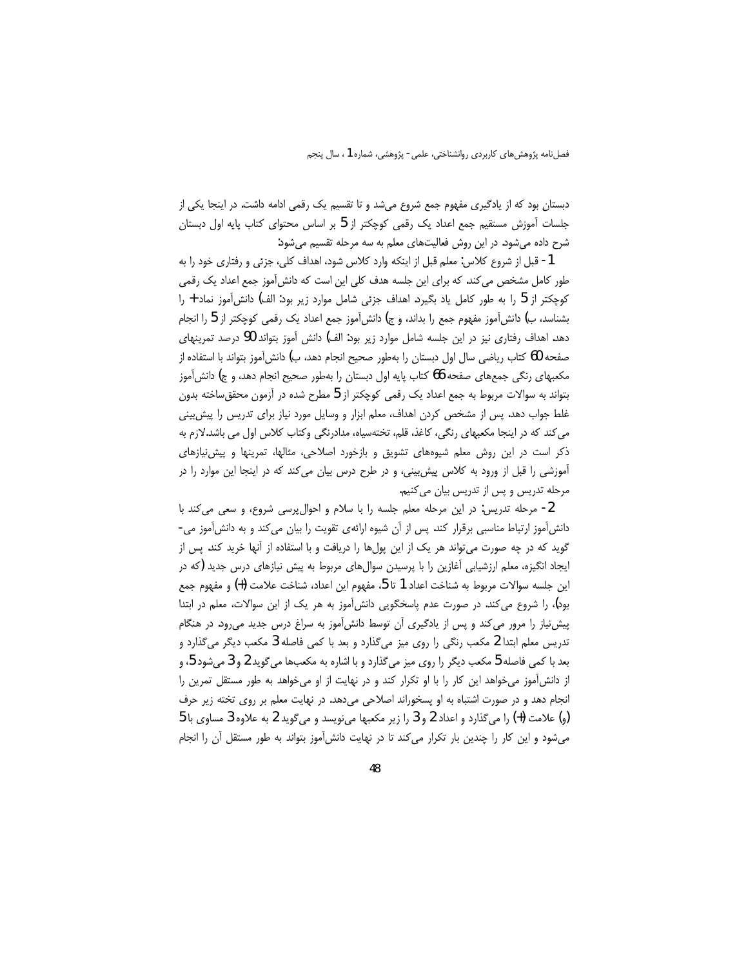دبستان بود که از یادگیری مفهوم جمع شروع میشد و تا تقسیم یک رقمی ادامه داشت. در اینجا یکی از جلسات آموزش مستقیم جمع اعداد یک رقمی کوچکتر از 5 بر اساس محتوای کتاب پایه اول دبستان شرح داده می شود. در این روش فعالیتهای معلم به سه مرحله تقسیم می شود:

1- قبل از شروع كلاس: معلم قبل از اينكه وارد كلاس شود، اهداف كلي، جزئي و رفتاري خود را به طور کامل مشخص می کند. که برای این جلسه هدف کلی این است که دانش آموز جمع اعداد یک رقمی کوچکتر از 5 را به طور کامل یاد بگیرد. اهداف جزئی شامل موارد زیر بود: الف) دانشآموز نماد + را بشناسد، ب) دانش[موز مفهوم جمع را بداند، و ج) دانش[موز جمع اعداد یک رقمی کوچکتر از 5 را انجام دهد. اهداف رفتاری نیز در این جلسه شامل موارد زیر بود: الف) دانش آموز بتواند 90 درصد تمرینهای صفحه 60 كتاب رياضي سال اول دبستان را بهطور صحيح انجام دهد، ب) دانش[موز بتواند با استفاده از مکعبهای رنگی جمعهای صفحه 66 کتاب پایه اول دبستان را بهطور صحیح انجام دهد، و ج) دانش آموز بتواند به سوالات مربوط به جمع اعداد یک رقمی کوچکتر از 5 مطرح شده در آزمون محقق ساخته بدون غلط جواب دهد. پس از مشخص کردن اهداف، معلم ابزار و وسایل مورد نیاز برای تدریس را پیش بینی می کند که در اینجا مکعبهای رنگی، کاغذ، قلم، تختهسیاه، مدادرنگی وکتاب کلاس اول می باشد.لازم به ذکر است در این روش معلم شیوههای تشویق و بازخورد اصلاحی، مثالها، تمرینها و پیش نیازهای آموزشی را قبل از ورود به کلاس پیش بینی، و در طرح درس بیان می کند که در اینجا این موارد را در مرحله تدریس و پس از تدریس بیان می کنیم.

2- مرحله تدریس: در این مرحله معلم جلسه را با سلام و احوالپرسی شروع، و سعی می کند با دانش آموز ارتباط مناسبی برقرار کند. پس از آن شیوه ارائهی تقویت را بیان می کند و به دانش آموز می-گوید که در چه صورت می تواند هر یک از این پولها را دریافت و با استفاده از آنها خرید کند. پس از ایجاد انگیزه، معلم ارزشیابی آغازین را با پرسیدن سوالهای مربوط به پیش نیازهای درس جدید (که در اين جلسه سوالات مربوط به شناخت اعداد 1 تا 5، مفهوم اين اعداد، شناخت علامت (+) و مفهوم جمع بود)، را شروع می کند. در صورت عدم پاسخگویی دانش آموز به هر یک از این سوالات، معلم در ابتدا پیش نیاز را مرور می کند و پس از یادگیری آن توسط دانش آموز به سراغ درس جدید می رود. در هنگام تدریس معلم ابتدا 2 مکعب رنگی را روی میز میگذارد و بعد با کمی فاصله 3 مکعب دیگر میگذارد و بعد با کمی فاصله 5 مکعب دیگر را روی میز میگذارد و با اشاره به مکعبها میگوید 2 و 3 میشود 5، و از دانش آموز می خواهد این کار را با او تکرار کند و در نهایت از او می خواهد به طور مستقل تمرین را انجام دهد و در صورت اشتباه به او پسخوراند اصلاحی میدهد. در نهایت معلم بر روی تخته زیر حرف (و) علامت (+) را می گذارد و اعداد 2 و 3 را زیر مکعبها می نویسد و می گوید 2 به علاوه 3 مساوی با 5 میشود و این کار را چندین بار تکرار میکند تا در نهایت دانشآموز بتواند به طور مستقل آن را انجام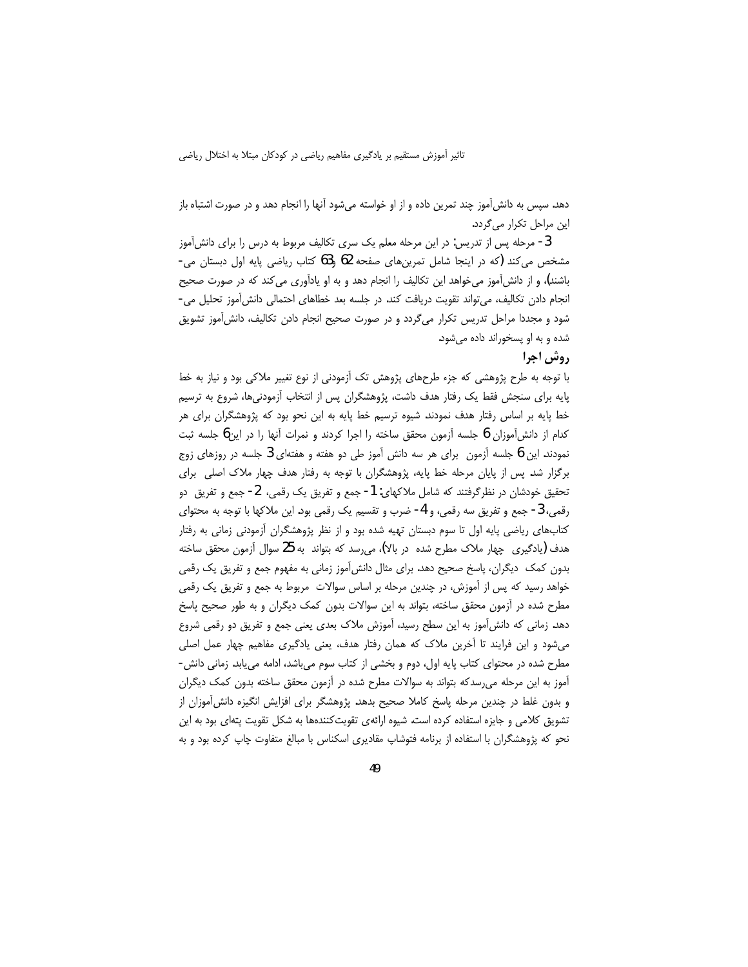دهد. سپس به دانش[موز چند تمرین داده و از او خواسته میشود آنها را انجام دهد و در صورت اشتباه باز این مراحل تکرار می گردد.

3- مرحله پس از تدریس: در این مرحله معلم یک سری تکالیف مربوط به درس را برای دانش آموز مشخص می کند (که در اینجا شامل تمرین های صفحه 62 و63 کتاب ریاضی پایه اول دبستان می-باشند)، و از دانش[موز میخواهد این تکالیف را انجام دهد و به او یادآوری می کند که در صورت صحیح انجام دادن تکالیف، میتواند تقویت دریافت کند. در جلسه بعد خطاهای احتمالی دانش آموز تحلیل می-شود و مجددا مراحل تدریس تکرار میگردد و در صورت صحیح انجام دادن تکالیف، دانش[موز تشویق شده و به او پسخوراند داده می شود.

### **,وش اجرا**

با توجه به طرح پژوهشی که جزء طرحهای پژوهش تک آزمودنی از نوع تغییر ملاکی بود و نیاز به خط پایه برای سنجش فقط یک رفتار هدف داشت، پژوهشگران پس از انتخاب آزمودنیها، شروع به ترسیم خط پایه بر اساس رفتار هدف نمودند. شیوه ترسیم خط پایه به این نحو بود که پژوهشگران برای هر کدام از دانش آموزان 6 جلسه آزمون محقق ساخته را اجرا کردند و نمرات آنها را در این6 جلسه ثبت نمودند. این 6 جلسه آزمون ِ برای هر سه دانش آموز طی دو هفته و هفتهای 3 جلسه در روزهای زوج برگزار شد. پس از پایان مرحله خط پایه، پژوهشگران با توجه به رفتار هدف چهار ملاک اصلی برای تحقیق خودشان در نظر گرفتند که شامل ملاکهای: 1- جمع و تفریق یک رقمی، 2- جمع و تفریق دو رقمي، 3- جمع و تفريق سه رقمي، و 4- ضرب و تقسيم يک رقمي بود. اين ملاکها با توجه به محتواي کتابهای ریاضی پایه اول تا سوم دبستان تهیه شده بود و از نظر پژوهشگران آزمودنی زمانی به رفتار هدف (یادگیری) چهار ملاک مطرح شده (ر بالا)، میرسد که بتواند به 25 سوال آزمون محقق ساخته بدون کمک دیگران، پاسخ صحیح دهد. برای مثال دانشآموز زمانی به مفهوم جمع و تفریق یک رقمی خواهد رسید که پس از آموزش، در چندین مرحله بر اساس سوالات مربوط به جمع و تفریق یک رقمی مطرح شده در آزمون محقق ساخته، بتواند به این سوالات بدون کمک دیگران و به طور صحیح پاسخ دهد. زمانی که دانش آموز به این سطح رسید، آموزش ملاک بعدی یعنی جمع و تفریق دو رقمی شروع میشود و این فرایند تا آخرین ملاک که همان رفتار هدف، یعنی یادگیری مفاهیم چهار عمل اصلی مطرح شده در محتوای کتاب پایه اول، دوم و بخشی از کتاب سوم میباشد، ادامه مییابد. زمانی دانش-آموز به این مرحله می رسدکه بتواند به سوالات مطرح شده در آزمون محقق ساخته بدون کمک دیگران و بدون غلط در چندین مرحله پاسخ کاملا صحیح بدهد. پژوهشگر برای افزایش انگیزه دانش[موزان از تشویق کلامی و جایزه استفاده کرده است. شیوه ارائهی تقویتکنندهها به شکل تقویت پتهای بود به این نحو که پژوهشگران با استفاده از برنامه فتوشاپ مقادیری اسکناس با مبالغ متفاوت چاپ کرده بود و به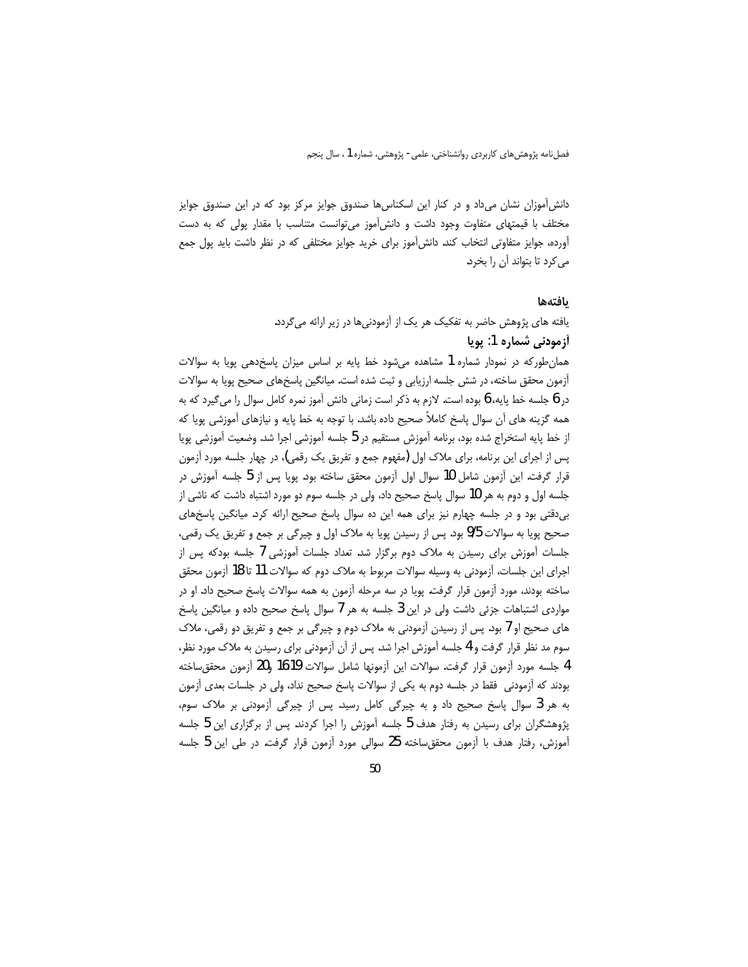دانش آموزان نشان میداد و در کنار این اسکناس ها صندوق جوایز مرکز بود که در این صندوق جوایز مختلف با قیمتهای متفاوت وجود داشت و دانش آموز می توانست متناسب با مقدار پولی که به دست آورده، جوایز متفاوتی انتخاب کند. دانش آموز برای خرید جوایز مختلفی که در نظر داشت باید پول جمع می کرد تا بتواند آن را بخرد.

#### بافتهها

یافته های پژوهش حاضر به تفکیک هر یک از آزمودنیها در زیر ارائه میگردد. أزمودني شماره 1: يويا

همانطورکه در نمودار شماره 1 مشاهده میشود خط پایه بر اساس میزان پاسخدهی پویا به سوالات أزمون محقق ساخته، در شش جلسه ارزيابي و ثبت شده است. ميانگين پاسخهاي صحيح پويا به سوالات در 6 جلسه خط پایه، 6 بوده است. لازم به ذکر است زمانی دانش آموز نمره کامل سوال را می $\mathfrak{z}_\mu$ د که به همه گزینه های آن سوال پاسخ کاملاً صحیح داده باشد. با توجه به خط پایه و نیازهای آموزشی پویا که از خط پایه استخراج شده بود، برنامه آموزش مستقیم در 5 جلسه آموزشی اجرا شد. وضعیت آموزشی پویا پس از اجرای این برنامه، برای ملاک اول (مفهوم جمع و تفریق یک رقمی)، در چهار جلسه مورد آزمون قرار گرفت. این آزمون شامل 10 سوال اول آزمون محقق ساخته بود. پویا پس از 5 جلسه آموزش در جلسه اول و دوم به هر 10 سوال پاسخ صحیح داد، ولی در جلسه سوم دو مورد اشتباه داشت که ناشی از بی دقتی بود و در جلسه چهارم نیز برای همه این ده سوال پاسخ صحیح ارائه کرد. میانگین پاسخهای صحیح پویا به سوالات 9/5 بود. پس از رسیدن پویا به ملاک اول و چیرگی بر جمع و تفریق یک رقمی، جلسات آموزش برای رسیدن به ملاک دوم برگزار شد. تعداد جلسات آموزشی 7 جلسه بودکه پس از اجرای این جلسات، آزمودنی به وسیله سوالات مربوط به ملاک دوم که سوالات 11 تا 18 آزمون محقق ساخته بودند، مورد آزمون قرار گرفت. پویا در سه مرحله آزمون به همه سوالات پاسخ صحیح داد. او در مواردی اشتباهات جزئی داشت ولی در این 3 جلسه به هر 7 سوال پاسخ صحیح داده و میانگین پاسخ های صحیح او 7 بود. پس از رسیدن آزمودنی به ملاک دوم و چیرگی بر جمع و تفریق دو رقمی، ملاک سوم مد نظر قرار گرفت و 4 جلسه آموزش اجرا شد. پس از آن آزمودنی برای رسیدن به ملاک مورد نظر، 4 جلسه مورد آزمون قرار گرفت. سوالات این آزمونها شامل سوالات 16،19 و20 آزمون محقق ساخته بودند که آزمودنی فقط در جلسه دوم به یکی از سوالات پاسخ صحیح نداد، ولی در جلسات بعدی آزمون به هر 3 سوال پاسخ صحیح داد و به چیرگی کامل رسید. پس از چیرگی آزمودنی بر ملاک سوم، پژوهشگران برای رسیدن به رفتار هدف 5 جلسه آموزش را اجرا کردند. پس از برگزاری این 5 جلسه آموزش، رفتار هدف با آزمون محققساخته 25 سوالی مورد آزمون قرار گرفت. در طی این 5 جلسه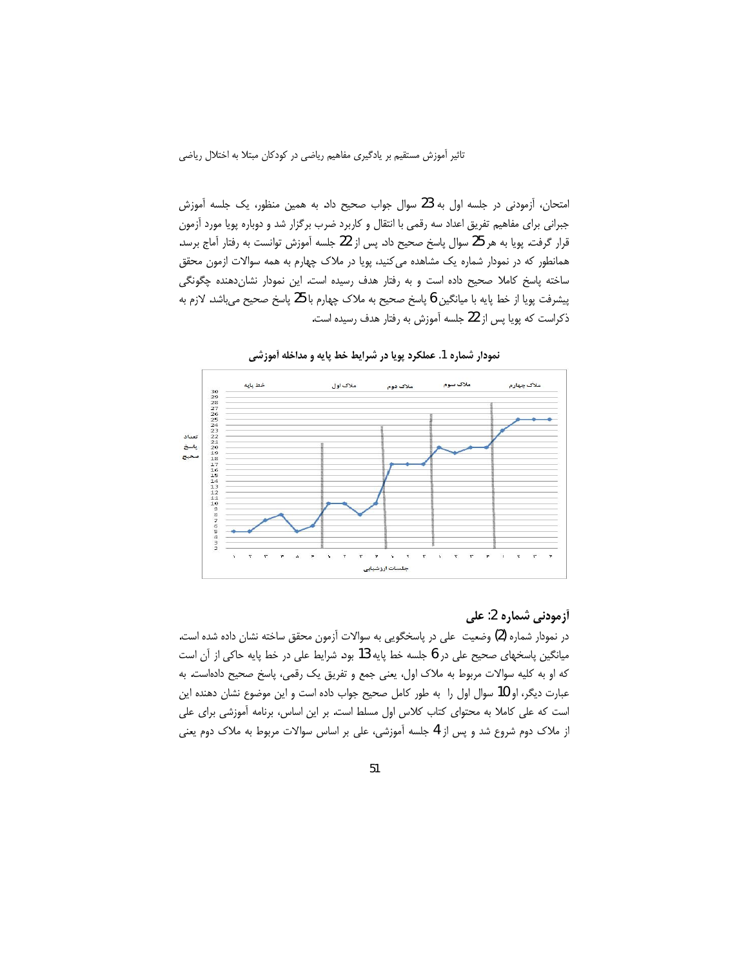امتحان، آزمودنی در جلسه اول به 23 سوال جواب صحیح داد. به همین منظور، یک جلسه آموزش جبرانی برای مفاهیم تفریق اعداد سه رقمی با انتقال و کاربرد ضرب برگزار شد و دوباره پویا مورد آزمون قرار گرفت. یوپا به هر 25 سوال پاسخ صحیح داد. پس از 22 جلسه آموزش توانست به رفتار آماج برسد. همانطور که در نمودار شماره یک مشاهده می کنید، پویا در ملاک چهارم به همه سوالات ازمون محقق ساخته پاسخ کاملا صحیح داده است و به رفتار هدف رسیده است. این نمودار نشاندهنده چگونگی پیشرفت پویا از خط پایه با میانگین 6 پاسخ صحیح به ملاک چهارم با 25 پاسخ صحیح می,باشد. لازم به ذکراست که پویا پس از 22 جلسه آموزش به رفتار هدف رسیده است.



نمودار شماره 1. عملکرد پویا در شرایط خط پایه و مداخله آموزشی

## أزمودني شماره 2: على

در نمودار شماره (2) وضعیت ً علی در پاسخگویی به سوالات آزمون محقق ساخته نشان داده شده است. میانگین پاسخهای صحیح علی در 6 جلسه خط پایه 13 بود. شرایط علی در خط پایه حاکی از آن است كه او به كليه سوالات مربوط به ملاك اول، يعني جمع و تفريق يک رقمي، پاسخ صحيح دادهاست. به عبارت دیگر، او 10 سوال اول را به طور کامل صحیح جواب داده است و این موضوع نشان دهنده این است که علی کاملا به محتوای کتاب کلاس اول مسلط است. بر این اساس، برنامه آموزشی برای علی از ملاک دوم شروع شد و پس از 4 جلسه آموزشی، علی بر اساس سوالات مربوط به ملاک دوم یعنی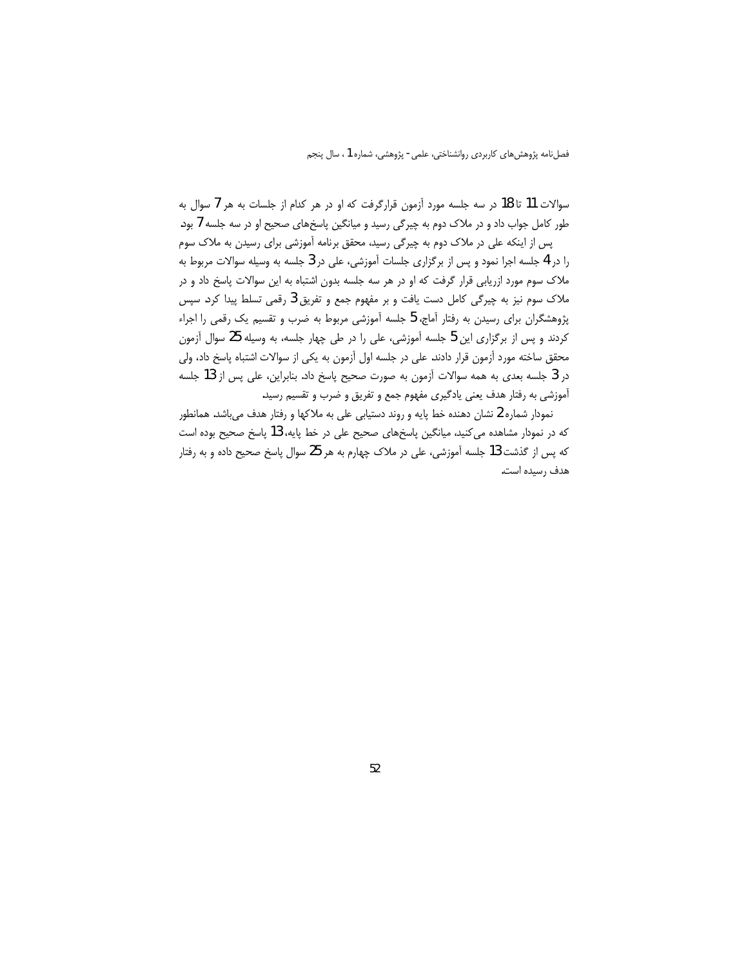سوالات 11 تا 18 در سه جلسه مورد آزمون قرارگرفت که او در هر کدام از جلسات به هر 7 سوال به طور کامل جواب داد و در ملاک دوم به چیرگی رسید و میانگین پاسخهای صحیح او در سه جلسه 7 بود. یس از اینکه علی در ملاک دوم به چیرگی رسید، محقق برنامه آموزشی برای رسیدن به ملاک سوم را در 4 جلسه اجرا نمود و پس از برگزاری جلسات آموزشی، علی در 3 جلسه به وسیله سوالات مربوط به ملاک سوم مورد ازریابی قرار گرفت که او در هر سه جلسه بدون اشتباه به این سوالات پاسخ داد و در ملاک سوم نیز به چیرگی کامل دست یافت و بر مفهوم جمع و تفریق 3 رقمی تسلط پیدا کرد. سپس پژوهشگران برای رسیدن به رفتار آماج، 5 جلسه آموزشی مربوط به ضرب و تقسیم یک رقمی را اجراء کردند و پس از برگزاری این 5 جلسه آموزشی، علی را در طی چهار جلسه، به وسیله 25 سوال آزمون محقق ساخته مورد آزمون قرار دادند. على در جلسه اول آزمون به يكي از سوالات اشتباه پاسخ داد، ولي در 3 جلسه بعدی به همه سوالات آزمون به صورت صحیح پاسخ داد. بنابراین، علی پس از 13 جلسه آموزشی به رفتار هدف یعنی یادگیری مفهوم جمع و تفریق و ضرب و تقسیم رسید.

نمودار شماره 2 نشان دهنده خط پایه و روند دستیابی علی به ملاکها و رفتار هدف میباشد. همانطور که در نمودار مشاهده می کنید، میانگین پاسخهای صحیح علی در خط پایه، 13 پاسخ صحیح بوده است كه پس از گذشت 13 جلسه آموزشي، علي در ملاک چهارم به هر 25 سوال ياسخ صحيح داده و به رفتار هدف رسیده است.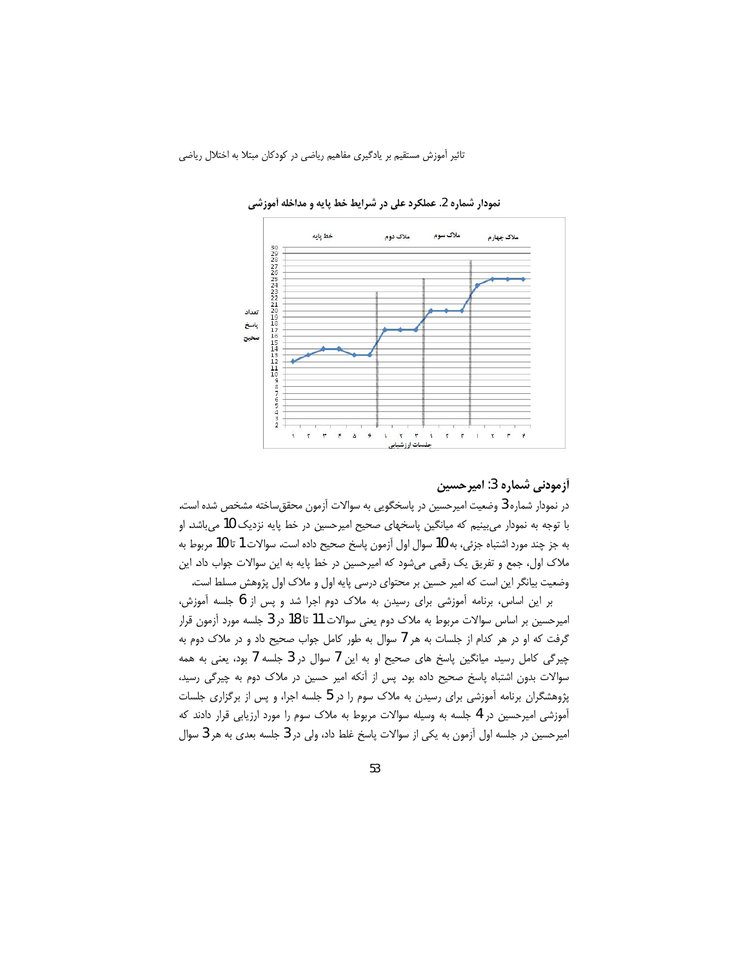

نمودار شماره 2. عملکرد علی در شرایط خط پایه و مداخله آموزشی

## آزمودنی شماره 3: امیرحسین

در نمودار شماره 3 وضعیت امیرحسین در پاسخگویی به سوالات آزمون محققساخته مشخص شده است. با توجه به نمودار میبینیم که میانگین پاسخهای صحیح امیرحسین در خط پایه نزدیک 10 میباشد. او به جز چند مورد اشتباه جزئي، به 10 سوال اول آزمون پاسخ صحيح داده است. سوالات 1 تا 10 مربوط به ملاک اول، جمع و تفریق یک رقمی میشود که امیرحسین در خط پایه به این سوالات جواب داد. این وضعیت بیانگر این است که امیر حسین بر محتوای درسی پایه اول و ملاک اول پژوهش مسلط است.

بر این اساس، برنامه آموزشی برای رسیدن به ملاک دوم اجرا شد و پس از 6 جلسه آموزش، امیرحسین بر اساس سوالات مربوط به ملاک دوم یعنی سوالات 11 تا 18 در 3 جلسه مورد آزمون قرار گرفت که او در هر کدام از جلسات به هر 7 سوال به طور کامل جواب صحیح داد و در ملاک دوم به چیرگی کامل رسید. میانگین پاسخ های صحیح او به این 7 سوال در 3 جلسه 7 بود، یعنی به همه سوالات بدون اشتباه پاسخ صحیح داده بود. پس از آنکه امیر حسین در ملاک دوم به چیرگی رسید، پژوهشگران برنامه آموزشی برای رسیدن به ملاک سوم را در 5 جلسه اجرا، و پس از برگزاری جلسات آموزشی امیرحسین در 4 جلسه به وسیله سوالات مربوط به ملاک سوم را مورد ارزیابی قرار دادند که امیرحسین در جلسه اول آزمون به یکی از سوالات پاسخ غلط داد، ولی در 3 جلسه بعدی به هر 3 سوال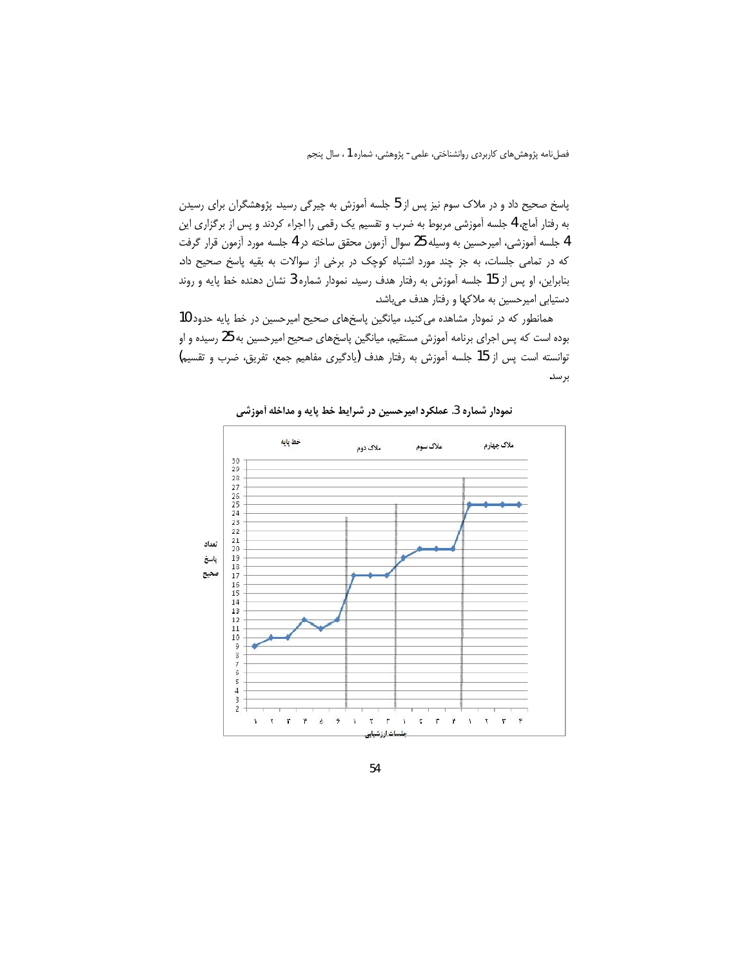پاسخ صحیح داد و در ملاک سوم نیز پس از 5 جلسه آموزش به چیرگی رسید. پژوهشگران برای رسیدن به رفتار آماج، 4 جلسه آموزشی مربوط به ضرب و تقسیم یک رقمی را اجراء کردند و پس از برگزاری این 4 جلسه آموزشی، امیرحسین به وسیله 25 سوال آزمون محقق ساخته در 4 جلسه مورد آزمون قرار گرفت كه در تمامى جلسات، به جز چند مورد اشتباه كوچك در برخى از سوالات به بقيه پاسخ صحيح داد. بنابراین، او پس از 15 جلسه آموزش به رفتار هدف رسید. نمودار شماره 3 نشان دهنده خط پایه و روند دستیابی امیرحسین به ملاکها و رفتار هدف میباشد.

همانطور که در نمودار مشاهده می کنید، میانگین پاسخهای صحیح امیرحسین در خط پایه حدود 10 بوده است که پس اجرای برنامه آموزش مستقیم، میانگین پاسخهای صحیح امیرحسین به 25 رسیده و او توانسته است پس از 15 جلسه آموزش به رفتار هدف (یادگیری مفاهیم جمع، تفریق، ضرب و تقسیم) برسد.



نمودار شماره 3. عملكرد اميرحسين در شرايط خط پايه و مداخله آموزشي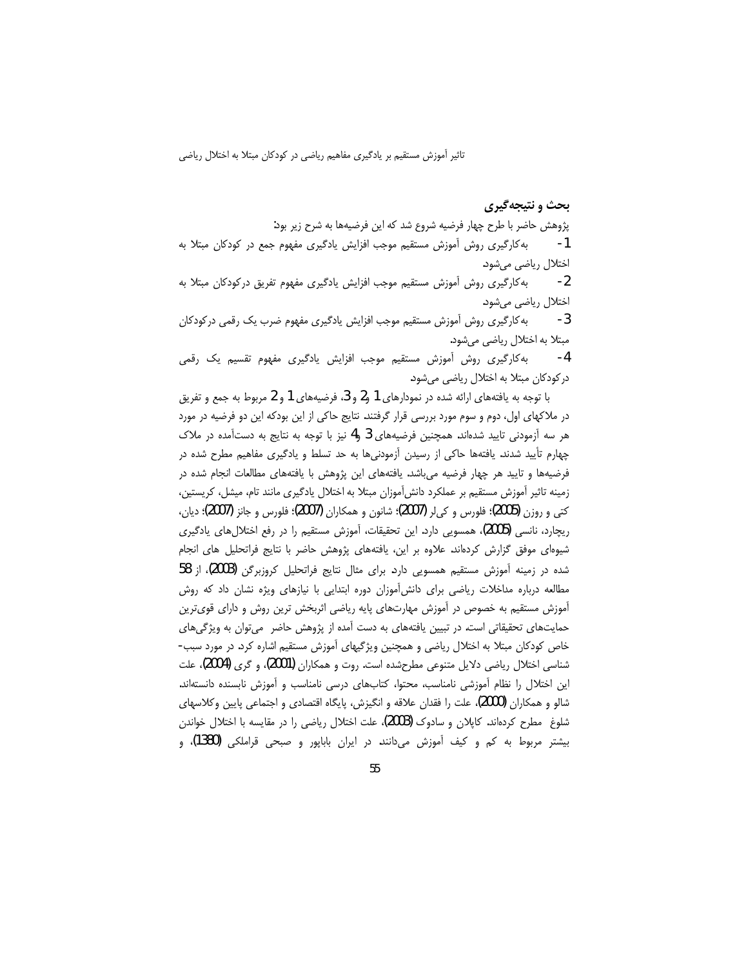### **بحث و نتیجهگیری**

پژوهش حاضر با طرح چهار فرضیه شروع شد که این فرضیهها به شرح زیر بود:

1- به كارگيرى روش آموزش مستقيم موجب افزايش يادگيرى مفهوم جمع در كودكان مبتلا به اختلال رياضي ميشود.

2- به كارگيري روش آموزش مستقيم موجب افزايش يادگيري مفهوم تفريق دركودكان مبتلا به اختلال رياضي مي شود.

3- به كارگيري روش آموزش مستقيم موجب افزايش يادگيري مفهوم ضرب يک رقمي در كودكان مبتلا به اختلال رياضي ميشود.

4- به کارگیری روش أموزش مستقیم موجب افزایش یادونهی وقمی در کودکان مبتلا به اختلال ریاضی میشود.

با توجه به یافتههای ارائه شده در نمودارهای 1 و2 و 3 فرضیههای 1 و 2 مربوط به جمع و تفریق در ملاکهای اول، دوم و سوم مورد بررسی قرار گرفتند. نتایج حاکی از این بودکه این دو فرضیه در مورد هر سه آزمودنی تایید شدهاند. همچنین فرضیههای 3 و4 نیز با توجه به نتایج به دستآمده در ملاک چهارم تأیید شدند. یافتهها حاکی از رسیدن آزمودنیها به حد تسلط و یادگیری مفاهیم مطرح شده در فرضیهها و تایید هر چهار فرضیه می باشد. یافتههای این پژوهش با یافتههای مطالعات انجام شده در زمینه تاثیر آموزش مستقیم بر عملکرد دانش آموزان مبتلا به اختلال یادگیری مانند تام، میشل، کریستین، کتی و روزن (2005)؛ فلورس و کیلر (2007)؛ شانون و همکاران (2007)؛ فلورس و جانز (2007)؛ دیان، ریچارد، نانسی (2005)، همسویی دارد. این تحقیقات، آموزش مستقیم را در رفع اختلالهای یادگیری شیوهای موفق گزارش کردهاند. علاوه بر این، یافتههای پژوهش حاضر با نتایج فراتحلیل های انجام شده در زمینه آموزش مستقیم همسویی دارد. برای مثال نتایج فراتحلیل کروزبرگن (2003)، از 58 مطالعه درباره مداخلات ریاضی برای دانش آموزان دوره ابتدایی با نیازهای ویژه نشان داد که روش آموزش مستقیم به خصوص در آموزش مهارتهای پایه ریاضی اثربخش ترین روش و دارای قویترین حمایتهای تحقیقاتی است. در تبیین یافتههای به دست آمده از پژوهش حاضر می توان به ویژگیهای خاص کودکان مبتلا به اختلال ریاضی و همچنین ویژگیهای آموزش مستقیم اشاره کرد. در مورد سبب-شناسی اختلال ریاضی دلایل متنوعی مطرحشده است. روت و همکاران (2001)، و گری (2004)، علت این اختلال را نظام آموزشی نامناسب، محتوا، کتابهای درسی نامناسب و آموزش نابسنده دانستهاند. شالو و همکاران (2000)، علت را فقدان علاقه و انگیزش، پایگاه اقتصادی و اجتماعی پایین وکلاسهای شلوغ مطرح کردهاند. کاپلان و سادوک (2003)، علت اختلال ریاضی را در مقایسه با اختلال خواندن بیشتر مربوط به کم و کیف آموزش میدانند. در ایران باباپور و صبحی قراملکی (1380)، و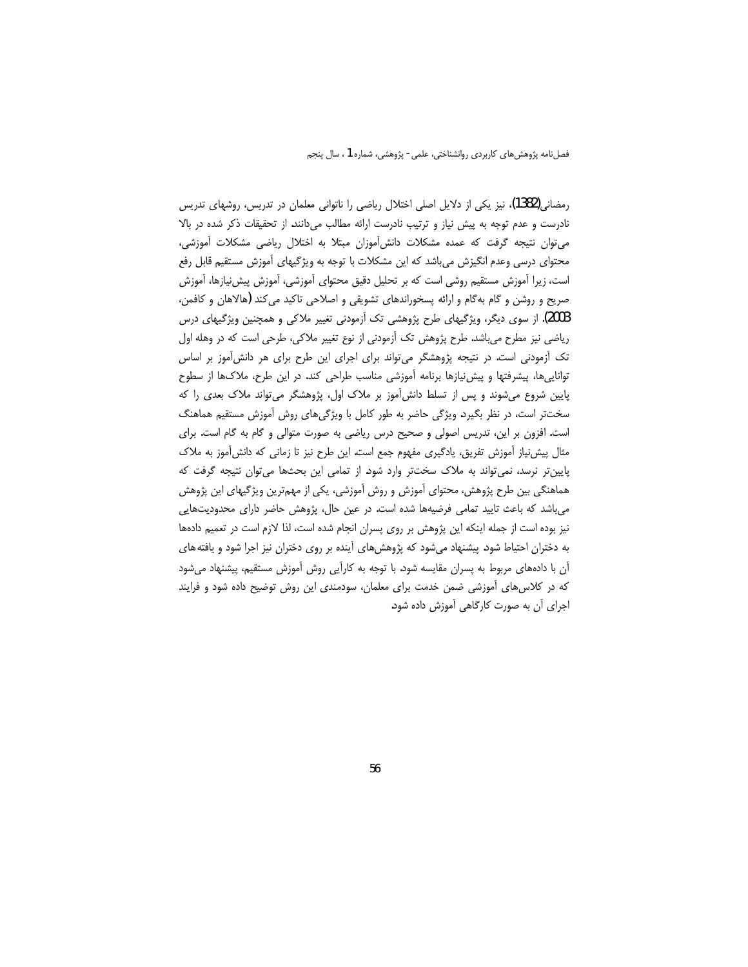رمضانی(1382)، نیز یکی از دلایل اصلی اختلال ریاضی را ناتوانی معلمان در تدریس، روشهای تدریس نادرست و عدم توجه به پیش نیاز و ترتیب نادرست ارائه مطالب میدانند. از تحقیقات ذکر شده در بالا می توان نتیجه گرفت که عمده مشکلات دانش آموزان مبتلا به اختلال ریاضی مشکلات آموزشی، محتوای درسی وعدم انگیزش میباشد که این مشکلات با توجه به ویژگیهای آموزش مستقیم قابل رفع است، زیرا آموزش مستقیم روشی است که بر تحلیل دقیق محتوای آموزشی، آموزش پیشiیازها، آموزش صریح و روشن و گام بهگام و ارائه پسخوراندهای تشویقی و اصلاحی تاکید می کند (هالاهان و کافمن، 2003). از سوی دیگر، ویژگیهای طرح پژوهشی تک اَزمودنی تغییر ملاکی و همچنین ویژگیهای درس ریاضی نیز مطرح میباشد. طرح پژوهش تک آزمودنی از نوع تغییر ملاکی، طرحی است که در وهله اول تک اَزمودنی است. در نتیجه پژوهشگر می تواند برای اجرای این طرح برای هر دانش اَموز بر اساس تواناییها، پیشرفتها و پیش نیازها برنامه آموزشی مناسب طراحی کند. در این طرح، ملاکها از سطوح پایین شروع میشوند و پس از تسلط دانش[موز بر ملاک اول، پژوهشگر می تواند ملاک بعدی را که سختتر است، در نظر بگیرد. ویژگی حاضر به طور کامل با ویژگیهای روش آموزش مستقیم هماهنگ است. افزون بر این، تدریس اصولی و صحیح درس ریاضی به صورت متوالی و گام به گام است. برای مثال پیش نیاز آموزش تفریق، یادگیری مفهوم جمع است. این طرح نیز تا زمانی که دانش آموز به ملاک پایین تر نرسد، نمی تواند به ملاک سخت تر وارد شود. از تمامی این بحثها می توان نتیجه گرفت که هماهنگی بین طرح پژوهش، محتوای آموزش و روش آموزشی، یکی از مهمترین ویژگیهای این پژوهش میباشد که باعث تایید تمامی فرضیهها شده است. در عین حال، پژوهش حاضر دارای محدودیتهایی نیز بوده است از جمله اینکه این پژوهش بر روی پسران انجام شده است، لذا لازم است در تعمیم دادهها به دختران احتیاط شود. پیشنهاد میشود که پژوهشهای آینده بر روی دختران نیز اجرا شود و یافته های آن با دادههای مربوط به پسران مقایسه شود. با توجه به کارآیی روش آموزش مستقیم، پیشنهاد میشود که در کلاس های آموزشی ضمن خدمت برای معلمان، سودمندی این روش توضیح داده شود و فرایند اجرای آن به صورت کارگاهی آموزش داده شود.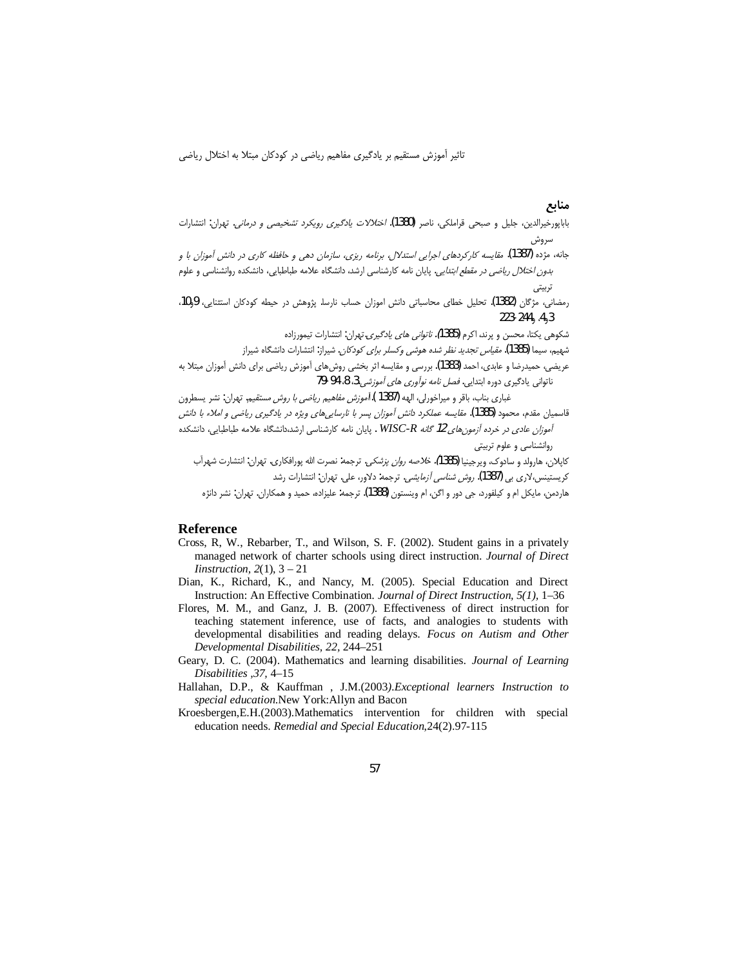منابع

- باباپورخیرالدین، جلیل و صبحی قراملکی، ناصر (1380). *اختلالات یادگیری رویکرد تشخیصی و درمانی*. تهران: انتشارات سروش
- جانه، مژده (1387). مقایسه کارکردهای اجرایی استدلال، برنامه ریزی، سازمان دهی و حافظه کاری در دانش آموزان با و ب*دون اختلال ریاضی در مقطع ابتدایی*. پایان نامه کارشناسی ارشد، دانشگاه علامه طباطبایی، دانشکده روانشناسی و علوم تربيتى
- رمضانی، مژگان (1382). تحلیل خطای محاسباتی دانش اموزان حساب نارسا. پژوهش در حیطه کودکان استثنایی، 9و10،  $223 - 244, A<sub>3</sub>$ 
	- شکوهی یکتا، محسن و پرند، اکرم **(1**385*). ناتوانی های یادگیری*.تهران: انتشارات تیمورزاده
	- شهیم، سیما (1385). *مقیاس تجدید نظر شده هوشی وکسلر برای کودکان*. شیراز: انتشارات دانشگاه شیراز
- عریضی، حمیدرضا و عابدی، احمد (1383). بررسی و مقایسه اثر بخشی روش۱مای آموزش ریاضی برای دانش آموزان مبتلا به ناتوانی یادگیری دوره ابتدایی. *فصل نامه نوآوری های آموزشی*.3، 8، 94-79

غباري بناب، باقر و ميراخورلي، الهه (1387 ).ا*أموزش مفاهيم رياضي با روش مستقيم.* تهران: نشر يسطرون قاسمیان مقدم، محمود (1385). *مقایسه عملکرد دانش آموزان پسر با نارسایی های ویژه در یادگیری ریاضی و املاء با دانش* آموزان عادی در خرده آزمون های 12 گانه WISC-R . پایان نامه کارشناسی ارشد،دانشگاه علامه طباطبایی، دانشکده روانشناسی و علوم تربیتی

.<br>کاپلان، هارولد و سادوک، ویرجینیا (1385*). خلاصه روان پزشکی.* ترجمه: نصرت الله پورافکاری. تهران: انتشارت شهرآب کریستینس،لاری بی (1387). *روش شناسی آزمایشی*. ترجمه: دلاور، علی. تهران: انتشارات رشد

هاردمن، مايکل ام و کيلفورد، جي دور و اگن، ام وينستون (1388). ترجمه: عليزاده، حميد و همکاران، تهران: نشر دانژه

#### Reference

- Cross, R, W., Rebarber, T., and Wilson, S. F. (2002). Student gains in a privately managed network of charter schools using direct instruction. Journal of Direct Iinstruction,  $2(1)$ ,  $3 - 21$
- Dian, K., Richard, K., and Nancy, M. (2005). Special Education and Direct Instruction: An Effective Combination. Journal of Direct Instruction, 5(1), 1-36
- Flores, M. M., and Ganz, J. B. (2007). Effectiveness of direct instruction for teaching statement inference, use of facts, and analogies to students with developmental disabilities and reading delays. Focus on Autism and Other Developmental Disabilities, 22, 244-251
- Geary, D. C. (2004). Mathematics and learning disabilities. Journal of Learning Disabilities .37, 4–15
- Hallahan, D.P., & Kauffman, J.M.(2003). Exceptional learners Instruction to special education.New York:Allyn and Bacon
- Kroesbergen, E.H. (2003). Mathematics intervention for children with special education needs. Remedial and Special Education, 24(2).97-115